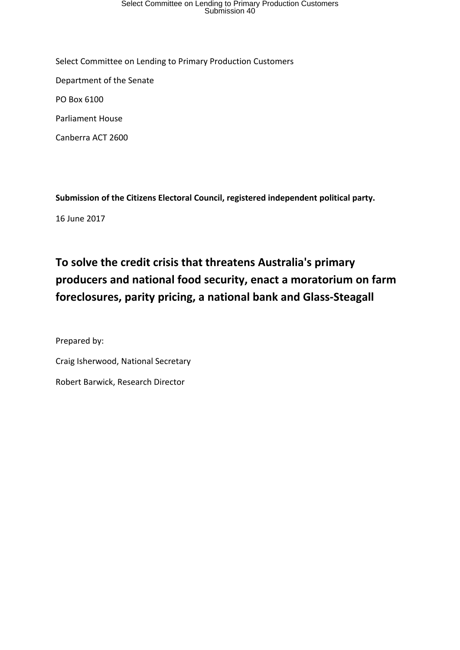# Select Committee on Lending to Primary Production Customers Submission 40

Select Committee on Lending to Primary Production Customers Department of the Senate PO Box 6100 Parliament House Canberra ACT 2600

**Submission of the Citizens Electoral Council, registered independent political party.**

16 June 2017

## **To solve the credit crisis that threatens Australia's primary producers and national food security, enact a moratorium on farm foreclosures, parity pricing, a national bank and Glass-Steagall**

Prepared by: Craig Isherwood, National Secretary Robert Barwick, Research Director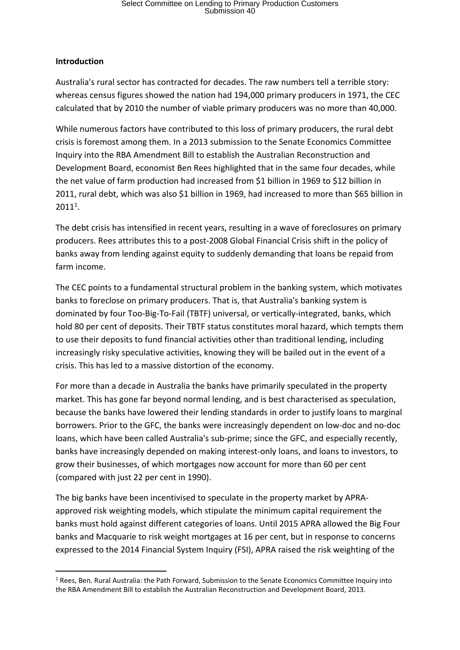# Select Committee on Lending to Primary Production Customers Submission 40

#### **Introduction**

Australia's rural sector has contracted for decades. The raw numbers tell a terrible story: whereas census figures showed the nation had 194,000 primary producers in 1971, the CEC calculated that by 2010 the number of viable primary producers was no more than 40,000.

While numerous factors have contributed to this loss of primary producers, the rural debt crisis is foremost among them. In a 2013 submission to the Senate Economics Committee Inquiry into the RBA Amendment Bill to establish the Australian Reconstruction and Development Board, economist Ben Rees highlighted that in the same four decades, while the net value of farm production had increased from \$1 billion in 1969 to \$12 billion in 2011, rural debt, which was also \$1 billion in 1969, had increased to more than \$65 billion in 20111.

The debt crisis has intensified in recent years, resulting in a wave of foreclosures on primary producers. Rees attributes this to a post-2008 Global Financial Crisis shift in the policy of banks away from lending against equity to suddenly demanding that loans be repaid from farm income.

The CEC points to a fundamental structural problem in the banking system, which motivates banks to foreclose on primary producers. That is, that Australia's banking system is dominated by four Too-Big-To-Fail (TBTF) universal, or vertically-integrated, banks, which hold 80 per cent of deposits. Their TBTF status constitutes moral hazard, which tempts them to use their deposits to fund financial activities other than traditional lending, including increasingly risky speculative activities, knowing they will be bailed out in the event of a crisis. This has led to a massive distortion of the economy.

For more than a decade in Australia the banks have primarily speculated in the property market. This has gone far beyond normal lending, and is best characterised as speculation, because the banks have lowered their lending standards in order to justify loans to marginal borrowers. Prior to the GFC, the banks were increasingly dependent on low-doc and no-doc loans, which have been called Australia's sub-prime; since the GFC, and especially recently, banks have increasingly depended on making interest-only loans, and loans to investors, to grow their businesses, of which mortgages now account for more than 60 per cent (compared with just 22 per cent in 1990).

The big banks have been incentivised to speculate in the property market by APRAapproved risk weighting models, which stipulate the minimum capital requirement the banks must hold against different categories of loans. Until 2015 APRA allowed the Big Four banks and Macquarie to risk weight mortgages at 16 per cent, but in response to concerns expressed to the 2014 Financial System Inquiry (FSI), APRA raised the risk weighting of the

<sup>&</sup>lt;sup>1</sup> Rees, Ben. Rural Australia: the Path Forward, Submission to the Senate Economics Committee Inquiry into the RBA Amendment Bill to establish the Australian Reconstruction and Development Board, 2013.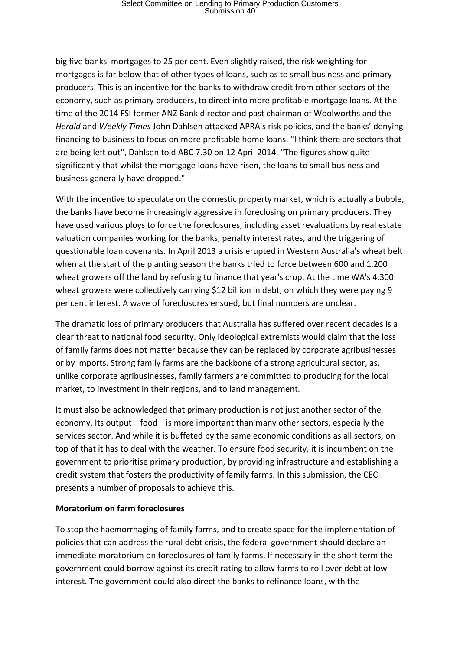big five banks' mortgages to 25 per cent. Even slightly raised, the risk weighting for mortgages is far below that of other types of loans, such as to small business and primary producers. This is an incentive for the banks to withdraw credit from other sectors of the economy, such as primary producers, to direct into more profitable mortgage loans. At the time of the 2014 FSI former ANZ Bank director and past chairman of Woolworths and the *Herald* and *Weekly Times* John Dahlsen attacked APRA's risk policies, and the banks' denying financing to business to focus on more profitable home loans. "I think there are sectors that are being left out", Dahlsen told ABC 7.30 on 12 April 2014. "The figures show quite significantly that whilst the mortgage loans have risen, the loans to small business and business generally have dropped."

With the incentive to speculate on the domestic property market, which is actually a bubble, the banks have become increasingly aggressive in foreclosing on primary producers. They have used various ploys to force the foreclosures, including asset revaluations by real estate valuation companies working for the banks, penalty interest rates, and the triggering of questionable loan covenants. In April 2013 a crisis erupted in Western Australia's wheat belt when at the start of the planting season the banks tried to force between 600 and 1,200 wheat growers off the land by refusing to finance that year's crop. At the time WA's 4,300 wheat growers were collectively carrying \$12 billion in debt, on which they were paying 9 per cent interest. A wave of foreclosures ensued, but final numbers are unclear.

The dramatic loss of primary producers that Australia has suffered over recent decades is a clear threat to national food security. Only ideological extremists would claim that the loss of family farms does not matter because they can be replaced by corporate agribusinesses or by imports. Strong family farms are the backbone of a strong agricultural sector, as, unlike corporate agribusinesses, family farmers are committed to producing for the local market, to investment in their regions, and to land management.

It must also be acknowledged that primary production is not just another sector of the economy. Its output—food—is more important than many other sectors, especially the services sector. And while it is buffeted by the same economic conditions as all sectors, on top of that it has to deal with the weather. To ensure food security, it is incumbent on the government to prioritise primary production, by providing infrastructure and establishing a credit system that fosters the productivity of family farms. In this submission, the CEC presents a number of proposals to achieve this.

#### **Moratorium on farm foreclosures**

To stop the haemorrhaging of family farms, and to create space for the implementation of policies that can address the rural debt crisis, the federal government should declare an immediate moratorium on foreclosures of family farms. If necessary in the short term the government could borrow against its credit rating to allow farms to roll over debt at low interest. The government could also direct the banks to refinance loans, with the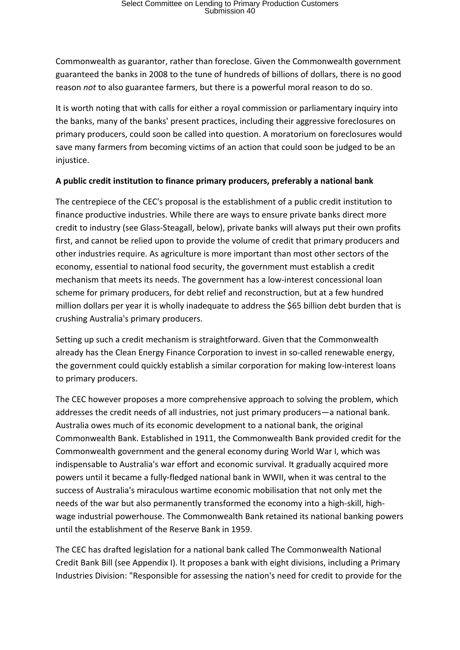Commonwealth as guarantor, rather than foreclose. Given the Commonwealth government guaranteed the banks in 2008 to the tune of hundreds of billions of dollars, there is no good reason *not* to also guarantee farmers, but there is a powerful moral reason to do so.

It is worth noting that with calls for either a royal commission or parliamentary inquiry into the banks, many of the banks' present practices, including their aggressive foreclosures on primary producers, could soon be called into question. A moratorium on foreclosures would save many farmers from becoming victims of an action that could soon be judged to be an injustice.

### **A public credit institution to finance primary producers, preferably a national bank**

The centrepiece of the CEC's proposal is the establishment of a public credit institution to finance productive industries. While there are ways to ensure private banks direct more credit to industry (see Glass-Steagall, below), private banks will always put their own profits first, and cannot be relied upon to provide the volume of credit that primary producers and other industries require. As agriculture is more important than most other sectors of the economy, essential to national food security, the government must establish a credit mechanism that meets its needs. The government has a low-interest concessional loan scheme for primary producers, for debt relief and reconstruction, but at a few hundred million dollars per year it is wholly inadequate to address the \$65 billion debt burden that is crushing Australia's primary producers.

Setting up such a credit mechanism is straightforward. Given that the Commonwealth already has the Clean Energy Finance Corporation to invest in so-called renewable energy, the government could quickly establish a similar corporation for making low-interest loans to primary producers.

The CEC however proposes a more comprehensive approach to solving the problem, which addresses the credit needs of all industries, not just primary producers—a national bank. Australia owes much of its economic development to a national bank, the original Commonwealth Bank. Established in 1911, the Commonwealth Bank provided credit for the Commonwealth government and the general economy during World War I, which was indispensable to Australia's war effort and economic survival. It gradually acquired more powers until it became a fully-fledged national bank in WWII, when it was central to the success of Australia's miraculous wartime economic mobilisation that not only met the needs of the war but also permanently transformed the economy into a high-skill, highwage industrial powerhouse. The Commonwealth Bank retained its national banking powers until the establishment of the Reserve Bank in 1959.

The CEC has drafted legislation for a national bank called The Commonwealth National Credit Bank Bill (see Appendix I). It proposes a bank with eight divisions, including a Primary Industries Division: "Responsible for assessing the nation's need for credit to provide for the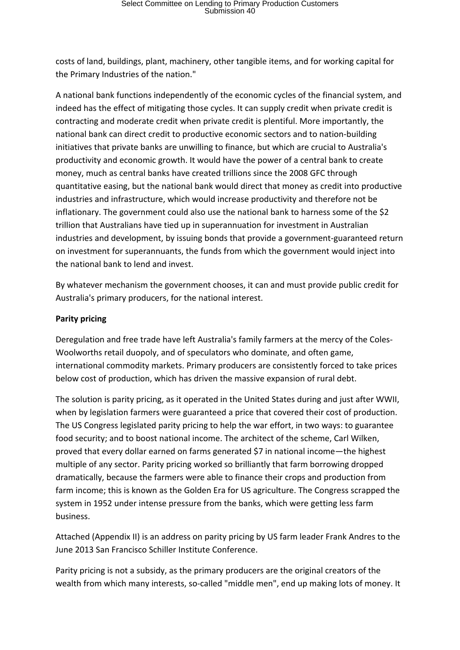costs of land, buildings, plant, machinery, other tangible items, and for working capital for the Primary Industries of the nation."

A national bank functions independently of the economic cycles of the financial system, and indeed has the effect of mitigating those cycles. It can supply credit when private credit is contracting and moderate credit when private credit is plentiful. More importantly, the national bank can direct credit to productive economic sectors and to nation-building initiatives that private banks are unwilling to finance, but which are crucial to Australia's productivity and economic growth. It would have the power of a central bank to create money, much as central banks have created trillions since the 2008 GFC through quantitative easing, but the national bank would direct that money as credit into productive industries and infrastructure, which would increase productivity and therefore not be inflationary. The government could also use the national bank to harness some of the \$2 trillion that Australians have tied up in superannuation for investment in Australian industries and development, by issuing bonds that provide a government-guaranteed return on investment for superannuants, the funds from which the government would inject into the national bank to lend and invest.

By whatever mechanism the government chooses, it can and must provide public credit for Australia's primary producers, for the national interest.

#### **Parity pricing**

Deregulation and free trade have left Australia's family farmers at the mercy of the Coles-Woolworths retail duopoly, and of speculators who dominate, and often game, international commodity markets. Primary producers are consistently forced to take prices below cost of production, which has driven the massive expansion of rural debt.

The solution is parity pricing, as it operated in the United States during and just after WWII, when by legislation farmers were guaranteed a price that covered their cost of production. The US Congress legislated parity pricing to help the war effort, in two ways: to guarantee food security; and to boost national income. The architect of the scheme, Carl Wilken, proved that every dollar earned on farms generated \$7 in national income—the highest multiple of any sector. Parity pricing worked so brilliantly that farm borrowing dropped dramatically, because the farmers were able to finance their crops and production from farm income; this is known as the Golden Era for US agriculture. The Congress scrapped the system in 1952 under intense pressure from the banks, which were getting less farm business.

Attached (Appendix II) is an address on parity pricing by US farm leader Frank Andres to the June 2013 San Francisco Schiller Institute Conference.

Parity pricing is not a subsidy, as the primary producers are the original creators of the wealth from which many interests, so-called "middle men", end up making lots of money. It